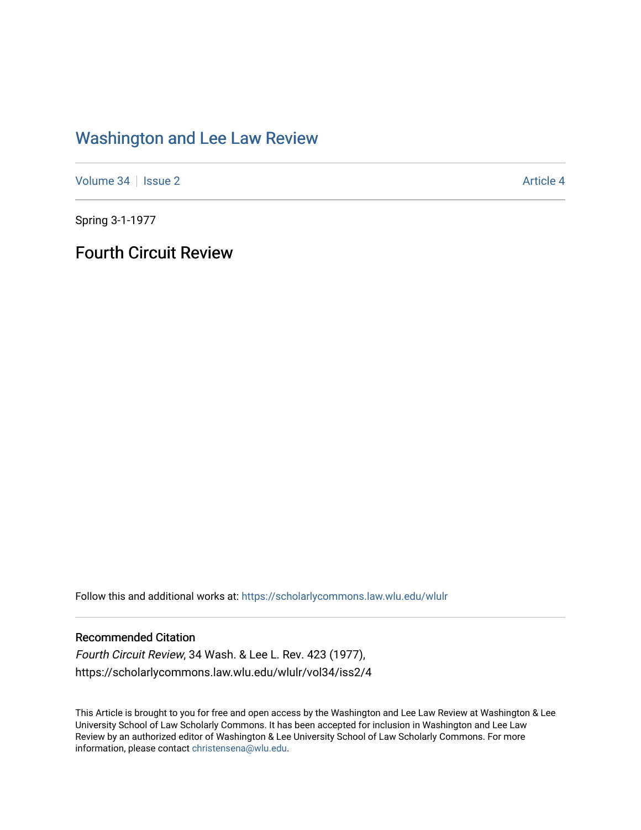## [Washington and Lee Law Review](https://scholarlycommons.law.wlu.edu/wlulr)

[Volume 34](https://scholarlycommons.law.wlu.edu/wlulr/vol34) | [Issue 2](https://scholarlycommons.law.wlu.edu/wlulr/vol34/iss2) Article 4

Spring 3-1-1977

Fourth Circuit Review

Follow this and additional works at: [https://scholarlycommons.law.wlu.edu/wlulr](https://scholarlycommons.law.wlu.edu/wlulr?utm_source=scholarlycommons.law.wlu.edu%2Fwlulr%2Fvol34%2Fiss2%2F4&utm_medium=PDF&utm_campaign=PDFCoverPages) 

## Recommended Citation

Fourth Circuit Review, 34 Wash. & Lee L. Rev. 423 (1977), https://scholarlycommons.law.wlu.edu/wlulr/vol34/iss2/4

This Article is brought to you for free and open access by the Washington and Lee Law Review at Washington & Lee University School of Law Scholarly Commons. It has been accepted for inclusion in Washington and Lee Law Review by an authorized editor of Washington & Lee University School of Law Scholarly Commons. For more information, please contact [christensena@wlu.edu](mailto:christensena@wlu.edu).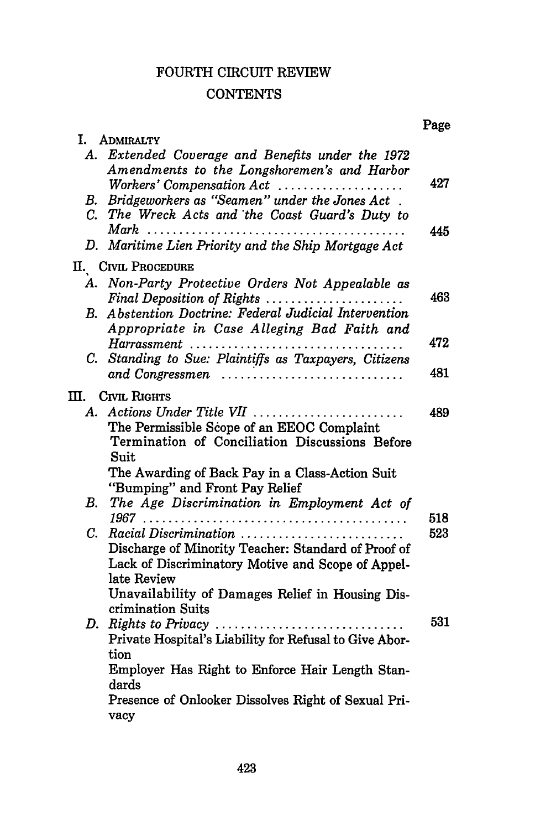## FOURTH CIRCUIT REVIEW

## **CONTENTS**

|            |                                                                                                                              | Page |
|------------|------------------------------------------------------------------------------------------------------------------------------|------|
|            | I. ADMIRALTY                                                                                                                 |      |
|            | A. Extended Coverage and Benefits under the 1972<br>Amendments to the Longshoremen's and Harbor<br>Workers' Compensation Act | 427  |
|            | B. Bridgeworkers as "Seamen" under the Jones Act.                                                                            |      |
|            | C. The Wreck Acts and the Coast Guard's Duty to<br>$Mark$                                                                    | 445  |
|            | D. Maritime Lien Priority and the Ship Mortgage Act                                                                          |      |
|            | II. CIVIL PROCEDURE                                                                                                          |      |
|            | A. Non-Party Protective Orders Not Appealable as<br>Final Deposition of Rights                                               | 463  |
| $\bm{B}$ . | Abstention Doctrine: Federal Judicial Intervention<br>Appropriate in Case Alleging Bad Faith and                             |      |
|            |                                                                                                                              | 472  |
|            | C. Standing to Sue: Plaintiffs as Taxpayers, Citizens                                                                        |      |
|            | and Congressmen                                                                                                              | 481  |
|            | II. CIVIL RIGHTS                                                                                                             |      |
|            | A. Actions Under Title VII                                                                                                   | 489  |
|            | The Permissible Scope of an EEOC Complaint                                                                                   |      |
|            | Termination of Conciliation Discussions Before                                                                               |      |
|            | Suit                                                                                                                         |      |
|            | The Awarding of Back Pay in a Class-Action Suit                                                                              |      |
| <b>B.</b>  | "Bumping" and Front Pay Relief<br>The Age Discrimination in Employment Act of                                                |      |
|            |                                                                                                                              | 518  |
| C.         | Racial Discrimination                                                                                                        | 523  |
|            | Discharge of Minority Teacher: Standard of Proof of                                                                          |      |
|            | Lack of Discriminatory Motive and Scope of Appel-                                                                            |      |
|            | late Review                                                                                                                  |      |
|            | Unavailability of Damages Relief in Housing Dis-                                                                             |      |
|            | crimination Suits                                                                                                            |      |
|            |                                                                                                                              | 531  |
|            | Private Hospital's Liability for Refusal to Give Abor-<br>tion                                                               |      |
|            | Employer Has Right to Enforce Hair Length Stan-                                                                              |      |
|            | dards                                                                                                                        |      |
|            | Presence of Onlooker Dissolves Right of Sexual Pri-                                                                          |      |
|            | vacy                                                                                                                         |      |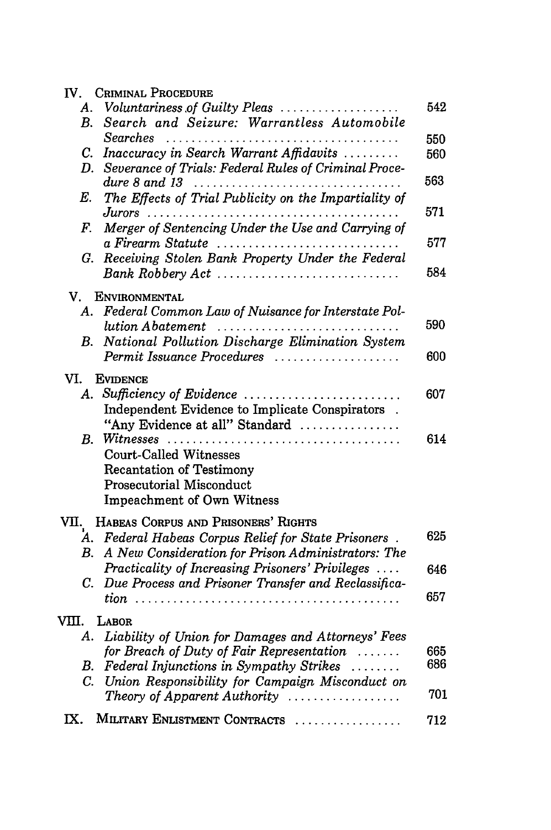|             | IV. CRIMINAL PROCEDURE                                                                                        |     |
|-------------|---------------------------------------------------------------------------------------------------------------|-----|
| А.          | Voluntariness of Guilty Pleas                                                                                 | 542 |
| В.          | Search and Seizure: Warrantless Automobile                                                                    |     |
|             | Searches                                                                                                      | 550 |
|             | C. Inaccuracy in Search Warrant Affidavits                                                                    | 560 |
| D.          | Severance of Trials: Federal Rules of Criminal Proce-                                                         | 563 |
| Е.          | The Effects of Trial Publicity on the Impartiality of                                                         |     |
|             |                                                                                                               | 571 |
| F.          | Merger of Sentencing Under the Use and Carrying of<br>a Firearm Statute                                       | 577 |
|             | G. Receiving Stolen Bank Property Under the Federal                                                           |     |
|             | Bank Robbery Act                                                                                              | 584 |
|             | V. ENVIRONMENTAL                                                                                              |     |
| A.          | Federal Common Law of Nuisance for Interstate Pol-                                                            |     |
|             | lution Abatement                                                                                              | 590 |
| В.          | National Pollution Discharge Elimination System                                                               |     |
|             | Permit Issuance Procedures                                                                                    | 600 |
| VI.         | <b>EVIDENCE</b>                                                                                               |     |
|             | A. Sufficiency of Evidence                                                                                    | 607 |
|             | Independent Evidence to Implicate Conspirators.                                                               |     |
|             | "Any Evidence at all" Standard                                                                                |     |
| B. .        |                                                                                                               | 614 |
|             | <b>Court-Called Witnesses</b>                                                                                 |     |
|             | <b>Recantation of Testimony</b>                                                                               |     |
|             | Prosecutorial Misconduct                                                                                      |     |
|             | Impeachment of Own Witness                                                                                    |     |
|             | VII. HABEAS CORPUS AND PRISONERS' RIGHTS                                                                      |     |
|             | A. Federal Habeas Corpus Relief for State Prisoners.<br>B. A New Consideration for Prison Administrators: The | 625 |
|             | Practicality of Increasing Prisoners' Privileges                                                              | 646 |
|             | C. Due Process and Prisoner Transfer and Reclassifica-                                                        | 657 |
|             |                                                                                                               |     |
| VIII. LABOR |                                                                                                               |     |
|             | A. Liability of Union for Damages and Attorneys' Fees                                                         |     |
|             | for Breach of Duty of Fair Representation                                                                     | 665 |
|             | B. Federal Injunctions in Sympathy Strikes                                                                    | 686 |
|             | C. Union Responsibility for Campaign Misconduct on                                                            | 701 |
|             | Theory of Apparent Authority                                                                                  |     |
|             | IX. MILITARY ENLISTMENT CONTRACTS                                                                             | 712 |